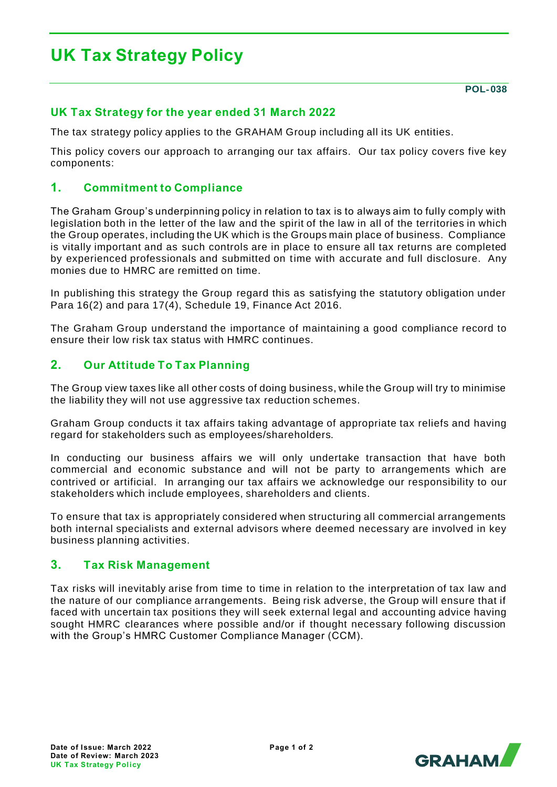# **UK Tax Strategy Policy**

**POL**‐ **038**

# **UK Tax Strategy for the year ended 31 March 2022**

The tax strategy policy applies to the GRAHAM Group including all its UK entities.

This policy covers our approach to arranging our tax affairs. Our tax policy covers five key components:

#### **1. Commitment to Compliance**

The Graham Group's underpinning policy in relation to tax is to always aim to fully comply with legislation both in the letter of the law and the spirit of the law in all of the territories in which the Group operates, including the UK which is the Groups main place of business. Compliance is vitally important and as such controls are in place to ensure all tax returns are completed by experienced professionals and submitted on time with accurate and full disclosure. Any monies due to HMRC are remitted on time.

In publishing this strategy the Group regard this as satisfying the statutory obligation under Para 16(2) and para 17(4), Schedule 19, Finance Act 2016.

The Graham Group understand the importance of maintaining a good compliance record to ensure their low risk tax status with HMRC continues.

### **2. Our Attitude To Tax Planning**

The Group view taxes like all other costs of doing business, while the Group will try to minimise the liability they will not use aggressive tax reduction schemes.

Graham Group conducts it tax affairs taking advantage of appropriate tax reliefs and having regard for stakeholders such as employees/shareholders.

In conducting our business affairs we will only undertake transaction that have both commercial and economic substance and will not be party to arrangements which are contrived or artificial. In arranging our tax affairs we acknowledge our responsibility to our stakeholders which include employees, shareholders and clients.

To ensure that tax is appropriately considered when structuring all commercial arrangements both internal specialists and external advisors where deemed necessary are involved in key business planning activities.

#### **3. Tax Risk Management**

Tax risks will inevitably arise from time to time in relation to the interpretation of tax law and the nature of our compliance arrangements. Being risk adverse, the Group will ensure that if faced with uncertain tax positions they will seek external legal and accounting advice having sought HMRC clearances where possible and/or if thought necessary following discussion with the Group's HMRC Customer Compliance Manager (CCM).